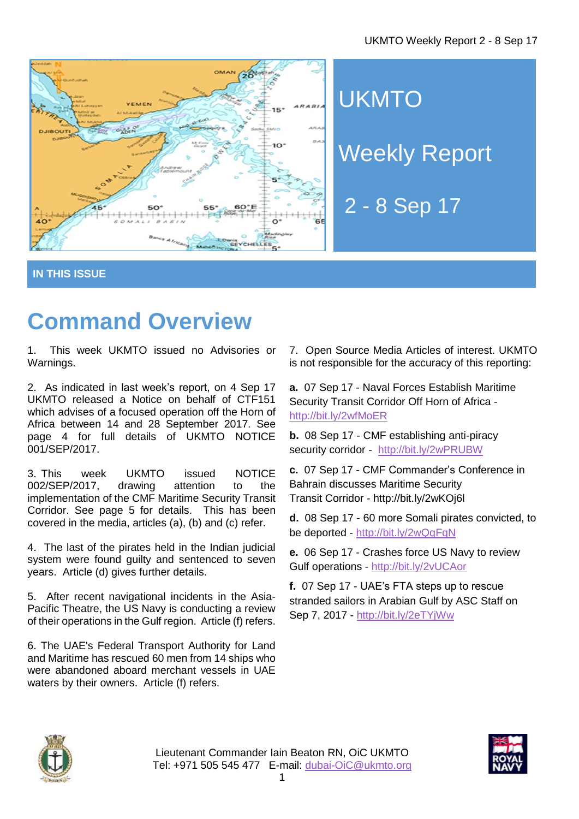

**UKMTO** Weekly Report

2 - 8 Sep 17

**IN THIS ISSUE**

# **Command Overview**

1. This week UKMTO issued no Advisories or Warnings.

2. As indicated in last week's report, on 4 Sep 17 UKMTO released a Notice on behalf of CTF151 which advises of a focused operation off the Horn of Africa between 14 and 28 September 2017. See page 4 for full details of UKMTO NOTICE 001/SEP/2017.

3. This week UKMTO issued NOTICE 002/SEP/2017, drawing attention to the implementation of the CMF Maritime Security Transit Corridor. See page 5 for details. This has been covered in the media, articles (a), (b) and (c) refer.

4. The last of the pirates held in the Indian judicial system were found guilty and sentenced to seven years. Article (d) gives further details.

5. After recent navigational incidents in the Asia-Pacific Theatre, the US Navy is conducting a review of their operations in the Gulf region. Article (f) refers.

6. The UAE's Federal Transport Authority for Land and Maritime has rescued 60 men from 14 ships who were abandoned aboard merchant vessels in UAE waters by their owners. Article (f) refers.

7. Open Source Media Articles of interest. UKMTO is not responsible for the accuracy of this reporting:

**a.** 07 Sep 17 - Naval Forces Establish Maritime Security Transit Corridor Off Horn of Africa <http://bit.ly/2wfMoER>

**b.** 08 Sep 17 - CMF establishing anti-piracy security corridor - <http://bit.ly/2wPRUBW>

**c.** 07 Sep 17 - CMF [Commander's](https://combinedmaritimeforces.com/2017/09/07/cmf-commanders-conference-in-bahrain-discusses-maritime-security-transit-corridor/) Conference in Bahrain [discusses](https://combinedmaritimeforces.com/2017/09/07/cmf-commanders-conference-in-bahrain-discusses-maritime-security-transit-corridor/) Maritime Security Transit [Corridor](https://combinedmaritimeforces.com/2017/09/07/cmf-commanders-conference-in-bahrain-discusses-maritime-security-transit-corridor/) - <http://bit.ly/2wKOj6l>

**d.** 08 Sep 17 - 60 more Somali pirates convicted, to be deported - <http://bit.ly/2wQqFqN>

**e.** 06 Sep 17 - Crashes force US Navy to review Gulf operations - <http://bit.ly/2vUCAor>

**f.** 07 Sep 17 - UAE's FTA steps up to rescue stranded sailors in Arabian Gulf by ASC Staff on Sep 7, 2017 - <http://bit.ly/2eTYjWw>



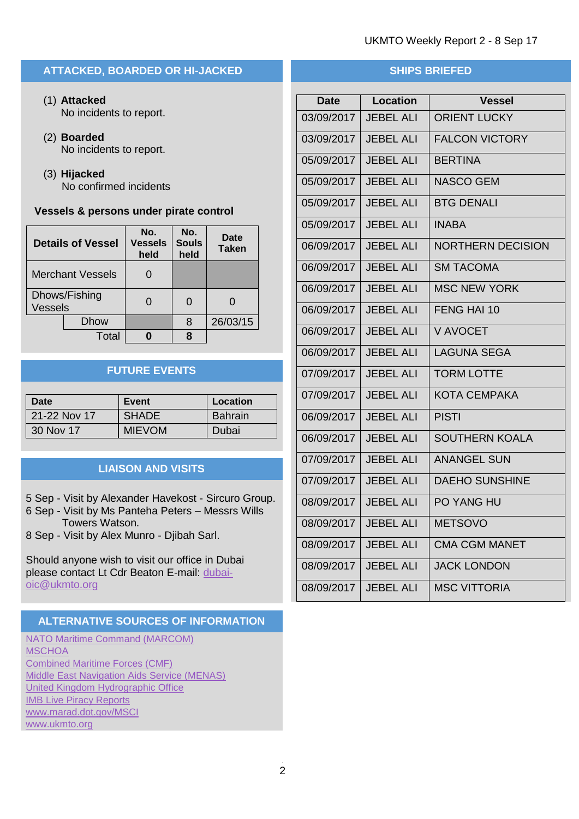# **ATTACKED, BOARDED OR HI-JACKED**

- (1) **Attacked** No incidents to report.
- (2) **Boarded** No incidents to report.
- (3) **Hijacked** No confirmed incidents

#### **Vessels & persons under pirate control**

| <b>Details of Vessel</b>        |             | No.<br><b>Vessels</b><br>held | No.<br><b>Souls</b><br>held | Date<br><b>Taken</b> |
|---------------------------------|-------------|-------------------------------|-----------------------------|----------------------|
| <b>Merchant Vessels</b>         |             |                               |                             |                      |
| Dhows/Fishing<br><b>Vessels</b> |             |                               |                             |                      |
|                                 | <b>Dhow</b> |                               | 8                           | 26/03/15             |
|                                 | Total       |                               |                             |                      |

# **FUTURE EVENTS**

| Date         | Event         | Location |
|--------------|---------------|----------|
| 21-22 Nov 17 | <b>SHADE</b>  | Bahrain  |
| 30 Nov 17    | <b>MIEVOM</b> | Dubai    |

# **LIAISON AND VISITS**

5 Sep - Visit by Alexander Havekost - Sircuro Group.

6 Sep - Visit by Ms Panteha Peters – Messrs Wills Towers Watson.

8 Sep - Visit by Alex Munro - Djibah Sarl.

Should anyone wish to visit our office in Dubai please contact Lt Cdr Beaton E-mail: [dubai](mailto:dubai-oic@ukmto.org)[oic@ukmto.org](mailto:dubai-oic@ukmto.org)

#### **ALTERNATIVE SOURCES OF INFORMATION**

[NATO Maritime Command](http://www.mc.nato.int/) (MARCOM) **[MSCHOA](http://www.mschoa.org/)** [Combined Maritime Forces \(CMF\)](http://combinedmaritimeforces.com/) [Middle East Navigation Aids Service \(MENAS\)](http://www.menas.org/) [United Kingdom Hydrographic Office](http://www.ukho.gov.uk/security) [IMB Live Piracy Reports](https://icc-ccs.org/piracy-reporting-centre/live-piracy-report) [www.marad.dot.gov/MSCI](http://www.marad.dot.gov/MSCI) [www.ukmto.org](http://www.ukmto.org/)

# **SHIPS BRIEFED**

| <b>Date</b> | <b>Location</b>  | <b>Vessel</b>            |
|-------------|------------------|--------------------------|
| 03/09/2017  | <b>JEBEL ALI</b> | <b>ORIENT LUCKY</b>      |
| 03/09/2017  | <b>JEBEL ALI</b> | <b>FALCON VICTORY</b>    |
| 05/09/2017  | <b>JEBEL ALI</b> | <b>BERTINA</b>           |
| 05/09/2017  | <b>JEBEL ALI</b> | <b>NASCO GEM</b>         |
| 05/09/2017  | <b>JEBEL ALI</b> | <b>BTG DENALI</b>        |
| 05/09/2017  | <b>JEBEL ALI</b> | <b>INABA</b>             |
| 06/09/2017  | <b>JEBEL ALI</b> | <b>NORTHERN DECISION</b> |
| 06/09/2017  | <b>JEBEL ALI</b> | <b>SM TACOMA</b>         |
| 06/09/2017  | <b>JEBEL ALI</b> | <b>MSC NEW YORK</b>      |
| 06/09/2017  | <b>JEBEL ALI</b> | FENG HAI 10              |
| 06/09/2017  | <b>JEBEL ALI</b> | V AVOCET                 |
| 06/09/2017  | <b>JEBEL ALI</b> | <b>LAGUNA SEGA</b>       |
| 07/09/2017  | <b>JEBEL ALI</b> | <b>TORM LOTTE</b>        |
| 07/09/2017  | <b>JEBEL ALI</b> | <b>KOTA CEMPAKA</b>      |
| 06/09/2017  | <b>JEBEL ALI</b> | <b>PISTI</b>             |
| 06/09/2017  | <b>JEBEL ALI</b> | <b>SOUTHERN KOALA</b>    |
| 07/09/2017  | <b>JEBEL ALI</b> | <b>ANANGEL SUN</b>       |
| 07/09/2017  | <b>JEBEL ALI</b> | <b>DAEHO SUNSHINE</b>    |
| 08/09/2017  | <b>JEBEL ALI</b> | PO YANG HU               |
| 08/09/2017  | <b>JEBEL ALI</b> | <b>METSOVO</b>           |
| 08/09/2017  | <b>JEBEL ALI</b> | <b>CMA CGM MANET</b>     |
| 08/09/2017  | <b>JEBEL ALI</b> | <b>JACK LONDON</b>       |
| 08/09/2017  | <b>JEBEL ALI</b> | <b>MSC VITTORIA</b>      |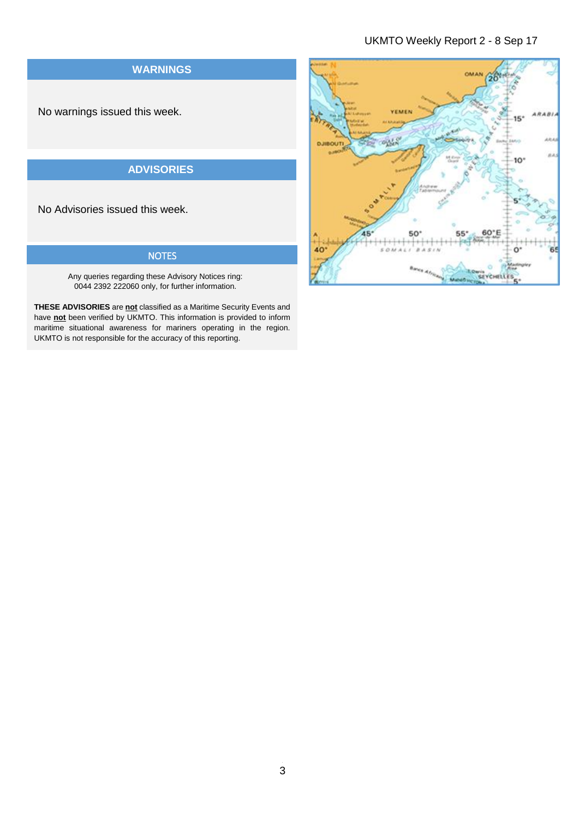# UKMTO Weekly Report 2 - 8 Sep 17



Any queries regarding these Advisory Notices ring: 0044 2392 222060 only, for further information.

**THESE ADVISORIES** are **not** classified as a Maritime Security Events and have **not** been verified by UKMTO. This information is provided to inform maritime situational awareness for mariners operating in the region. UKMTO is not responsible for the accuracy of this reporting.

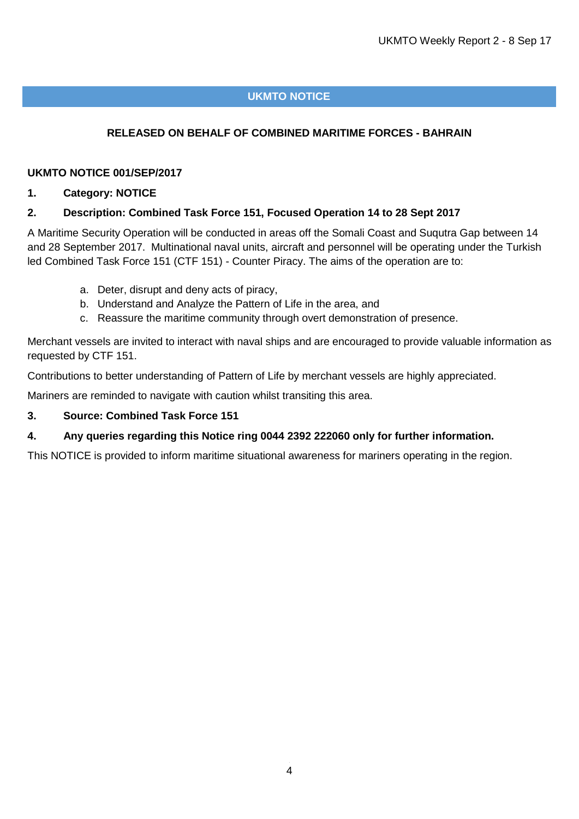# **UKMTO NOTICE**

# **RELEASED ON BEHALF OF COMBINED MARITIME FORCES - BAHRAIN**

#### **UKMTO NOTICE 001/SEP/2017**

#### **1. Category: NOTICE**

## **2. Description: Combined Task Force 151, Focused Operation 14 to 28 Sept 2017**

A Maritime Security Operation will be conducted in areas off the Somali Coast and Suqutra Gap between 14 and 28 September 2017. Multinational naval units, aircraft and personnel will be operating under the Turkish led Combined Task Force 151 (CTF 151) - Counter Piracy. The aims of the operation are to:

- a. Deter, disrupt and deny acts of piracy,
- b. Understand and Analyze the Pattern of Life in the area, and
- c. Reassure the maritime community through overt demonstration of presence.

Merchant vessels are invited to interact with naval ships and are encouraged to provide valuable information as requested by CTF 151.

Contributions to better understanding of Pattern of Life by merchant vessels are highly appreciated.

Mariners are reminded to navigate with caution whilst transiting this area.

#### **3. Source: Combined Task Force 151**

## **4. Any queries regarding this Notice ring 0044 2392 222060 only for further information.**

This NOTICE is provided to inform maritime situational awareness for mariners operating in the region.